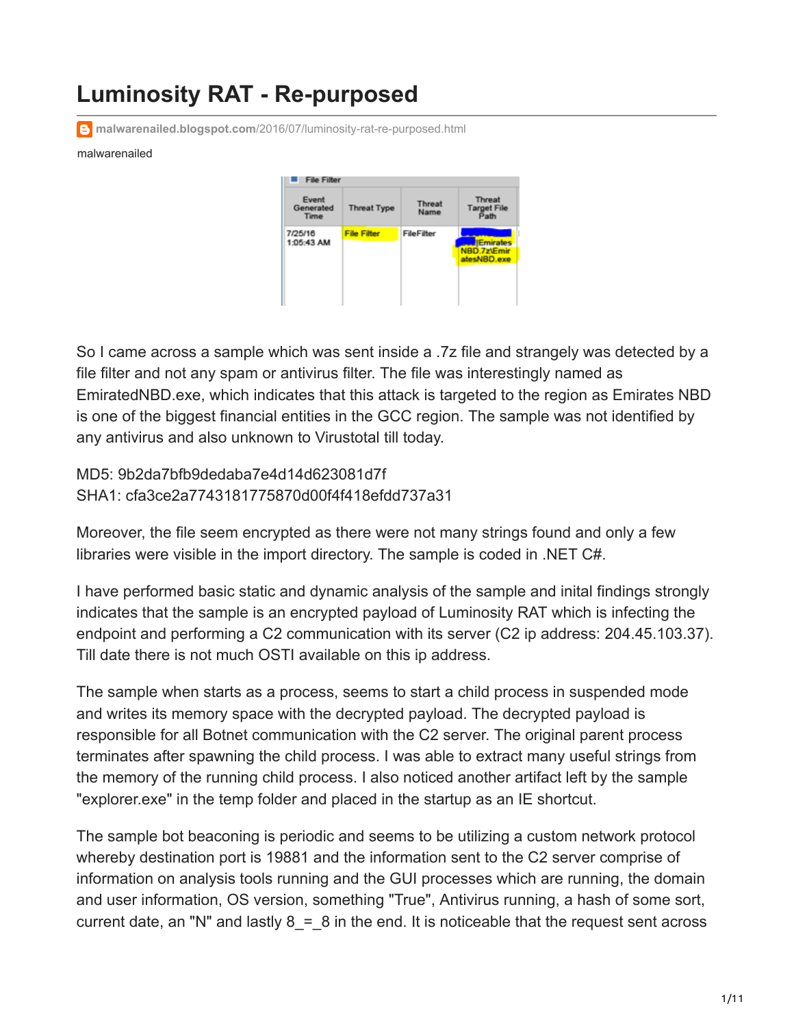## **Luminosity RAT - Re-purposed**

**malwarenailed.blogspot.com**[/2016/07/luminosity-rat-re-purposed.html](http://malwarenailed.blogspot.com/2016/07/luminosity-rat-re-purposed.html)

## malwarenailed



So I came across a sample which was sent inside a .7z file and strangely was detected by a file filter and not any spam or antivirus filter. The file was interestingly named as EmiratedNBD.exe, which indicates that this attack is targeted to the region as Emirates NBD is one of the biggest financial entities in the GCC region. The sample was not identified by any antivirus and also unknown to Virustotal till today.

MD5: 9b2da7bfb9dedaba7e4d14d623081d7f SHA1: cfa3ce2a7743181775870d00f4f418efdd737a31

Moreover, the file seem encrypted as there were not many strings found and only a few libraries were visible in the import directory. The sample is coded in .NET C#.

I have performed basic static and dynamic analysis of the sample and inital findings strongly indicates that the sample is an encrypted payload of Luminosity RAT which is infecting the endpoint and performing a C2 communication with its server (C2 ip address: 204.45.103.37). Till date there is not much OSTI available on this ip address.

The sample when starts as a process, seems to start a child process in suspended mode and writes its memory space with the decrypted payload. The decrypted payload is responsible for all Botnet communication with the C2 server. The original parent process terminates after spawning the child process. I was able to extract many useful strings from the memory of the running child process. I also noticed another artifact left by the sample "explorer.exe" in the temp folder and placed in the startup as an IE shortcut.

The sample bot beaconing is periodic and seems to be utilizing a custom network protocol whereby destination port is 19881 and the information sent to the C2 server comprise of information on analysis tools running and the GUI processes which are running, the domain and user information, OS version, something "True", Antivirus running, a hash of some sort, current date, an "N" and lastly  $8 = 8$  in the end. It is noticeable that the request sent across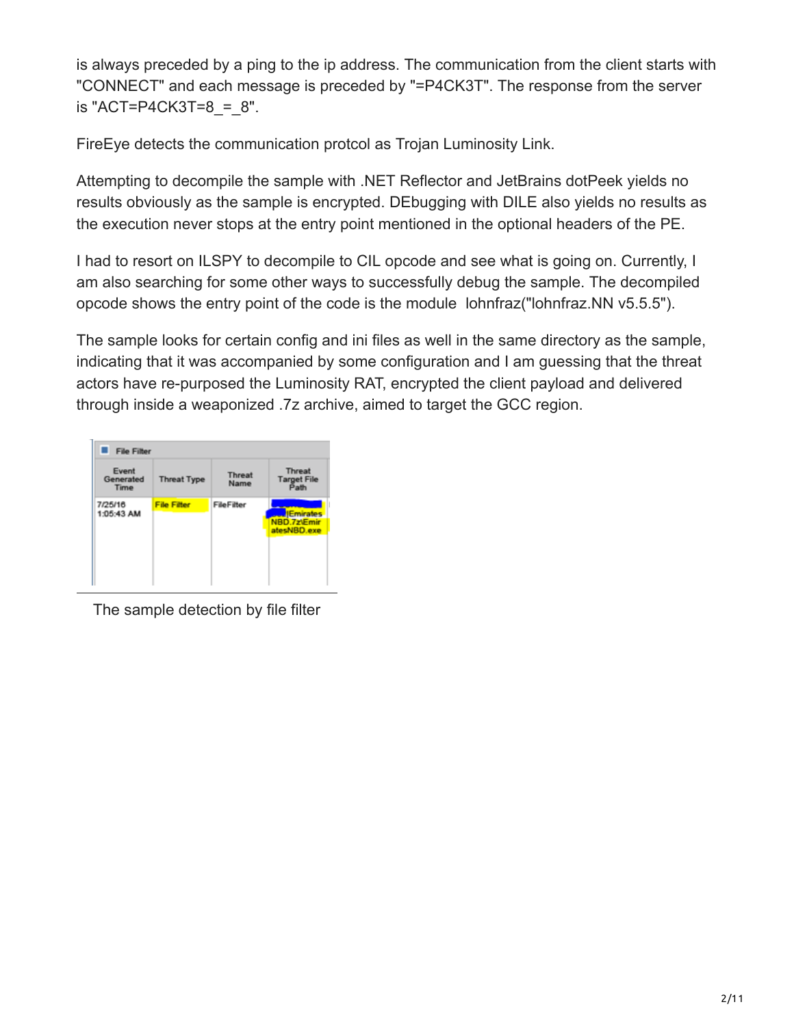is always preceded by a ping to the ip address. The communication from the client starts with "CONNECT" and each message is preceded by "=P4CK3T". The response from the server is "ACT=P4CK3T=8 =  $8$ ".

FireEye detects the communication protcol as Trojan Luminosity Link.

Attempting to decompile the sample with .NET Reflector and JetBrains dotPeek yields no results obviously as the sample is encrypted. DEbugging with DILE also yields no results as the execution never stops at the entry point mentioned in the optional headers of the PE.

I had to resort on ILSPY to decompile to CIL opcode and see what is going on. Currently, I am also searching for some other ways to successfully debug the sample. The decompiled opcode shows the entry point of the code is the module lohnfraz("lohnfraz.NN v5.5.5").

The sample looks for certain config and ini files as well in the same directory as the sample, indicating that it was accompanied by some configuration and I am guessing that the threat actors have re-purposed the Luminosity RAT, encrypted the client payload and delivered through inside a weaponized .7z archive, aimed to target the GCC region.



The sample detection by file filter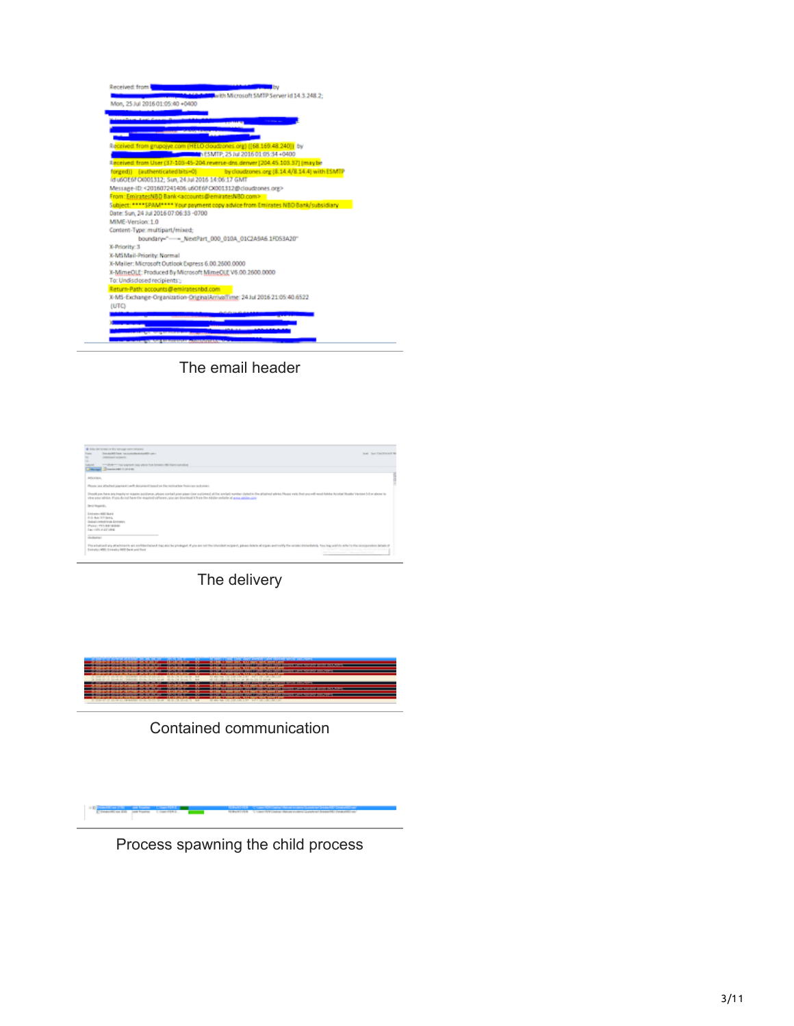| Received: from    |                                                                                   |
|-------------------|-----------------------------------------------------------------------------------|
|                   | with Microsoft SMTP Server id 14.3.248.2:                                         |
|                   | Mon, 25 Jul 2016 01:05:40 +0400                                                   |
|                   |                                                                                   |
|                   |                                                                                   |
|                   |                                                                                   |
|                   |                                                                                   |
|                   | Received: from grupojye.com (HELO cloudzones.org) ([68.169.48.240]) by            |
|                   | h ESMTP: 25 Jul 2016 01:05:34 +0400                                               |
|                   | Received: from User (37-103-45-204.reverse-dra.denver (204.45.103.37) (may be     |
|                   | forged)) (authenticated bits=0) by cloudrones org (8.14.4/8.14.4) with ESMTP      |
|                   | id u60E6FC0001312; Sun, 24 Jul 2016 14:06:17 GMT                                  |
|                   | Message-ID:<201607241406.u6OE6FC0001312@cloudzones.org>                           |
|                   | From: EmiratesNBD Bank <accounts@emiratesnbd.com></accounts@emiratesnbd.com>      |
|                   | Subject: **** SPAM**** Your payment copy advice from Emirates NBO Bank/subsidiary |
|                   | Date: Sun, 24 Jul 2016 07:06:33 -0700                                             |
| MIME-Version: 1.0 |                                                                                   |
|                   | Content-Type: multipart/mixed;                                                    |
|                   | boundary="---- NextPart_000_010A_01C2A9A6.1FD53A20"                               |
| X-Priority: 3     |                                                                                   |
|                   | X-MSMail-Priority: Normal                                                         |
|                   | X-Mailer: Microsoft Outlook Express 6.00.2600.0000                                |
|                   | X-MimeOLE: Produced By Microsoft MimeOLE V6.00.2600.0000                          |
|                   | To: Undisclosed recipients:                                                       |
|                   | Return-Path: accounts@emiratesnbd.com                                             |
|                   | X-MS-Exchange-Organization-OriginalArrivalTime: 24 Jul 2016 21:05:40.6522         |
| (UTC)             |                                                                                   |
|                   |                                                                                   |
|                   |                                                                                   |
|                   |                                                                                   |
|                   |                                                                                   |

The email header



The delivery



Contained communication

Process spawning the child process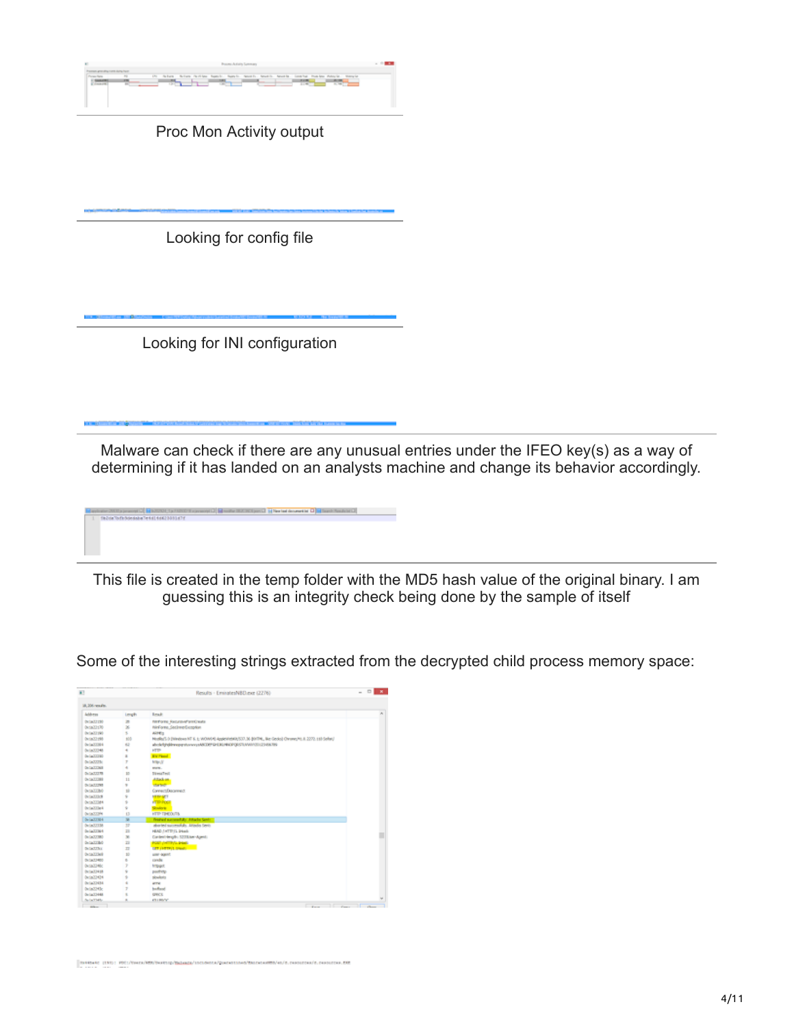

Proc Mon Activity output

Looking for config file

Looking for INI configuration

ane 2007 personal C<mark>. M</mark>azzoni, 1970 m.<br>1980a lock bandara lehil (1982-2011-17)

Malware can check if there are any unusual entries under the IFEO key(s) as a way of determining if it has landed on an analysts machine and change its behavior accordingly.

113 Tel New York (Schwarter Lee 1) Tel Tought Plans (Schulz 1)

This file is created in the temp folder with the MD5 hash value of the original binary. I am guessing this is an integrity check being done by the sample of itself

Some of the interesting strings extracted from the decrypted child process memory space:

| $\overline{1}$      |                         | Results - EminatesNBD-exe (2276)                                                                    | $\qquad \qquad \Box$<br>$\overline{a}$ |
|---------------------|-------------------------|-----------------------------------------------------------------------------------------------------|----------------------------------------|
| 18.306 wagin.       |                         |                                                                                                     |                                        |
| Address             | Length                  | <b>Leap</b>                                                                                         |                                        |
| <b>OVERATION</b>    | m                       | <b>INFOTE RELEVATIONS</b>                                                                           |                                        |
| 0x5832176           | $\geq$                  | NeForm SeclimarDesption                                                                             |                                        |
| (win/219)           | s.                      | Aires                                                                                               |                                        |
| 0x1a72198           | 100                     | Hoskull-0 (Nindows NT 6, 5; WOWER) AppleWebNUSD7.36-00/DN, like Geoloj Olyano/H).8.2272.118-Sofar(/ |                                        |
| Della XXIII-6       | 42                      | alvelobjeditenogratuvanysANDEFQ-EXCHIGPODSTLVANV31(2))-26.789                                       |                                        |
| OnlineXX348         | ٠                       | <b>HTTP</b>                                                                                         |                                        |
| Delia/22280         | ×                       | <b>Riville Avenue</b>                                                                               |                                        |
| De LieCOSTE         | r                       | Miller, N                                                                                           |                                        |
| <b>Default Cold</b> | ă.                      | store.                                                                                              |                                        |
| DeliaCO278          | 10                      | Thread Tools                                                                                        |                                        |
| <b>Detachment</b>   | 11                      | Affair on                                                                                           |                                        |
| DIGILIZED           | ×                       | <b>Charles</b>                                                                                      |                                        |
| <b>Dicta/TTB/I</b>  | $\mathbf{1}$            | Connect/December                                                                                    |                                        |
| <b>DOMTRA</b>       | ý                       | <b>SERVICE</b>                                                                                      |                                        |
| <b>Detailing</b>    | s                       | <b>PTD-POGE</b>                                                                                     |                                        |
| (wia22let           | ÷                       | <b>Straight</b>                                                                                     |                                        |
| Davis COSMA         | $\Omega$                | <b>HTTP TIMEOUTA</b>                                                                                |                                        |
| Online XXIIId-6     | $\overline{\mathbf{u}}$ | Freewal successfully, Attacks Senior E.                                                             |                                        |
| On LaCUTAR          | $\overline{12}$         | aborted successfully. Attacks facts                                                                 |                                        |
| Delia/22364         | $\overline{11}$         | HEAD THTTP IL Deads                                                                                 |                                        |
| DeliaCCOMO          | $\mathbf{x}$            | Cardent-length: 1233.lae-Agent:                                                                     |                                        |
| <b>Delia/ITBO</b>   | z                       | FORT (HETP/S. 24M)                                                                                  |                                        |
| DeliaCCTs.c         | n                       | <b>CET / PETPLE DINAL COMPANY</b>                                                                   |                                        |
| <b>benefitted</b>   | 10                      | une sound                                                                                           |                                        |
| 041803400           | b.                      | canda                                                                                               |                                        |
| <b>Detailliffic</b> | y                       | trought.                                                                                            |                                        |
| (w/a/1)418          | ý.                      | pachety.                                                                                            |                                        |
| 0x5873434           | s                       | sioukets                                                                                            |                                        |
| 0x/a22434           | ٠                       | arme.                                                                                               |                                        |
| 0x5x2243c           | y.                      | badwal.                                                                                             |                                        |
| Delia/O448          | t.                      | <b>GRCE</b>                                                                                         |                                        |
| Suite TMS           |                         | <b>CLIBRAC</b>                                                                                      |                                        |

SUREARS (1935) FOCU/ENEX/MENTHATELEMENT DESINES/QUARATES/OR ANTENNATION (EL CHARTERS/A), CONSUMINATION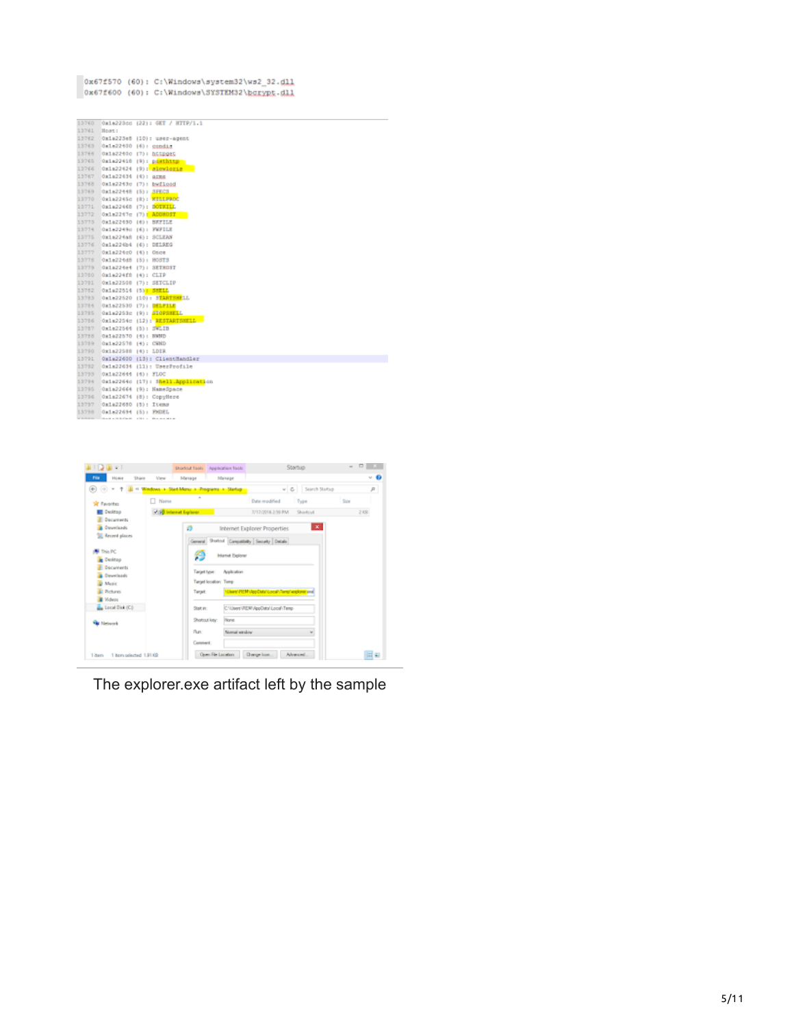0x67f570 (60): C:\Windows\system32\ws2\_32.dll 0x67f600 (60): C:\Windows\SYSTEM32\bgrypt.dll

|       |                     | 13760 0x1a223cc (22): GET / HTTP/1.1                                                                                                             |
|-------|---------------------|--------------------------------------------------------------------------------------------------------------------------------------------------|
| 13761 | Host:               |                                                                                                                                                  |
| 13762 |                     | Oxla223e8 (10): user-agent                                                                                                                       |
| 13763 |                     | Omla22400 (6): condim                                                                                                                            |
| 13764 |                     | Oxia22400 (7): httpget                                                                                                                           |
| 11765 |                     | Oxia22410 (9): pasthttp                                                                                                                          |
| 13766 |                     | Ox1a22424 (9): alowleria                                                                                                                         |
| 13767 | Oxla22434 (6): arms |                                                                                                                                                  |
| 13768 |                     | Oxla2243c (7): bwfload                                                                                                                           |
| 13769 |                     | Owla22448 (5): SPECS                                                                                                                             |
| 13770 |                     | Oxia2245c (8): WELLPROC                                                                                                                          |
| 13771 |                     | Oxia22468 (7): BOTETLE                                                                                                                           |
| 13772 |                     | Oxla2247c (7): ADDROST                                                                                                                           |
| 13773 |                     | Osla22490 (6): BEFILE                                                                                                                            |
| 13774 |                     | 0a1a2249c (6): FWFILE                                                                                                                            |
| 13775 |                     | Oxia224a8 (6): SCLEAN                                                                                                                            |
| 13776 |                     | Oxla224b4 (6): DELREG                                                                                                                            |
| 13777 | Oxla224c0 (4): Once |                                                                                                                                                  |
| 13778 |                     | Omla224d8 (5): HOSTS                                                                                                                             |
| 13779 |                     | Ox1a224e4 (7): SETHOST                                                                                                                           |
| 13780 |                     | 0x1a224f0 (4): CLP                                                                                                                               |
| 13781 |                     | Oxla22508 (7): SETCLIP                                                                                                                           |
| 13782 |                     | Oxia22514 (5): SHELL                                                                                                                             |
| 13783 |                     | Omin22520 (10): STARTSMELL                                                                                                                       |
| 13784 |                     | Ok1a22530 (7): DELFILE                                                                                                                           |
| 13785 |                     | Oxia2253c (9): SIOPSMELL                                                                                                                         |
| 13786 |                     | Oxia2254c (12): RESTARTSHELL                                                                                                                     |
| 13787 |                     | Ox1a22564 (5): SWLIB                                                                                                                             |
| 13788 |                     | Oxia22570 (4): NWND                                                                                                                              |
| 13789 | 0a1a22578 (4): CWND |                                                                                                                                                  |
| 13790 | Oxla22588 (4): LDIR |                                                                                                                                                  |
| 13791 |                     | Oxla22600 (13): ClientHandler                                                                                                                    |
| 13752 |                     | Oxla22634 (11): UserProfile                                                                                                                      |
| 13753 |                     | Oxia22644 (4): FLOC                                                                                                                              |
| 13794 |                     | 0x1a2264c (17): Shell.Application                                                                                                                |
| 13795 |                     | Ox1a22664 (9): HameSpace                                                                                                                         |
| 13756 |                     | Oxla22674 (8): CopyHere                                                                                                                          |
| 13797 |                     | Oxla22680 (8): Items                                                                                                                             |
| 13758 |                     | Owla22694 (5): FMDEL<br>dealer this close to the construction of the construction of the construction of the construction of the construction of |
|       |                     |                                                                                                                                                  |



The explorer.exe artifact left by the sample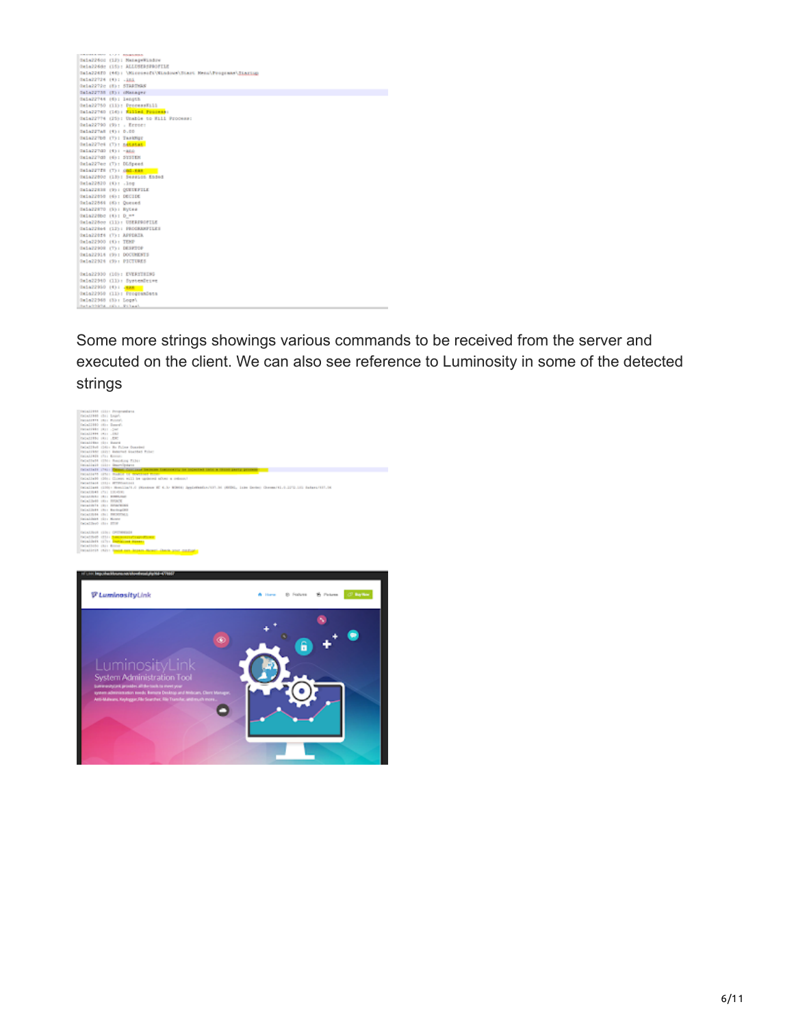| <b>CONSTRUCTION AND ASSESSED.</b>                              |
|----------------------------------------------------------------|
| OxiaZ26cc (13): ManageWindow                                   |
| Omin226dc (15): ALLUSERSPROFILE                                |
| Gala226fG (46); \Ricesseft\Nindows\Start Rena\Peoprams\Startup |
| DELARFIEM (43) LIES                                            |
| Ogla2272c (8): STARTWAY                                        |
| Cala22735 (8): (Renager                                        |
| Oxia22744 (6): length                                          |
| Oxia22750 (11): ProcessEill                                    |
| Galazz760 (16); Killed Process:                                |
| OxiallTT4 (25): Unable to Mill Process:                        |
| Gela22790 (9): . Ernner                                        |
| CALAZZTAE (4): D.CO                                            |
| OKLAZZTDO (T): TASERGE                                         |
| Oxia227c4 (7): netatat                                         |
| SELEZZTGD (4): - and                                           |
| Oxially do : System                                            |
| Oxia227ec (7): DLSpeed                                         |
| CALAZZTEN (T): ORD.can                                         |
| Oxialidoc (13): Session Ended                                  |
|                                                                |
| Dela22820 (4): . log                                           |
| CALAZZRIE (9) : CONUNTILE                                      |
| Oxialidad (6): DECIDE                                          |
| Oxla22864 (6): Queued                                          |
| CALAZZETO (S): EUCes                                           |
| SkiaZ26bc (4): D ==                                            |
| Oxia228cc (11): USERFROFILE                                    |
| Oxia228e4 (12): PROGRAMFILES                                   |
| Oxial20f6 (T): APPDAIR                                         |
| 0x1a22900 (4): TEMP                                            |
| CALAZZOOR (T): DESPTCP                                         |
| 0x1a22914 (9): DOCUMENTS                                       |
| 0x1a22024 (9): PICTURES                                        |
|                                                                |
| 0x1a22930 (10): EVERTHENG                                      |
| Omla22940 (11): SystemDrive                                    |
| 0x1a22950 (4): Jean -                                          |
| 0x1a22950 (11): ProgramData                                    |
| Omla22968 (S): Logs\                                           |
| Setable's OD - Filest                                          |
|                                                                |

Some more strings showings various commands to be received from the server and executed on the client. We can also see reference to Luminosity in some of the detected strings



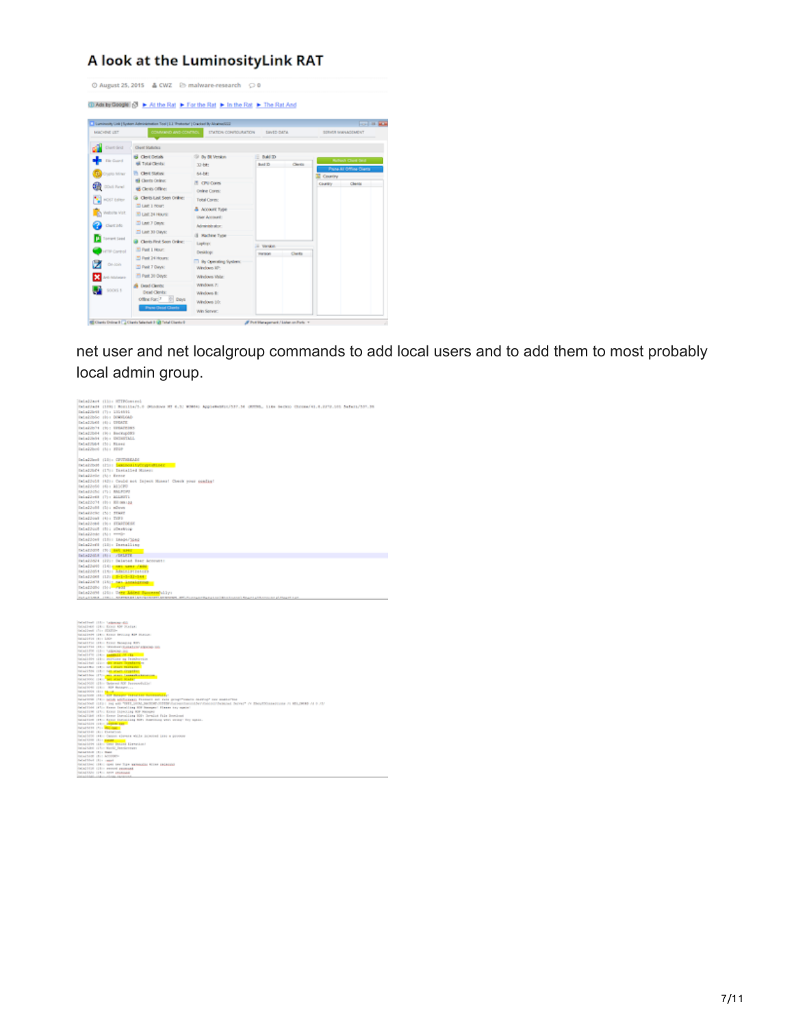## A look at the LuminosityLink RAT

| MACHINE LIST<br>COMMAND AND CONTROL<br>ETATION CONFIDURATION<br>Clart Grid<br><b>Clear Statutics</b><br>Cleve Details<br>(ii) By BR Version<br><b>BAID</b><br><b>File Guard</b><br><b>BETINE Cleves</b><br>Bold 2D<br>Clerks<br>32-68:<br>Clevel Status<br><b>Football</b> Ballimer<br>54-bt:<br><b>E</b> Country<br><b>IS Clents Online:</b><br>If CPU Cores<br>Country.<br><b>COst Parent</b><br><b>US</b> Clents Office:<br><b>Cedrar Cores:</b><br>Clerits Last Seen Orither<br>HOST Editor<br>Total Cores:<br>33 Last 1 mount<br>A ACCOUNT Type<br>Website Volt<br>TO Last 24 Hours:<br>User Annual:<br>23 Leat 7 Dece:<br>Client Info<br>Administrator:<br>El Last 30 Days:<br>Il Hachine Type<br>larest tead<br>Clerits First Seen Online:<br>Liptiqv<br>- Verald<br><sup>35</sup> Part 1 Hour:<br><b>Introd</b><br>Desktop:<br>Clarks<br>Per to Oh<br><sup>25</sup> Fest 24 Hours:<br>TT By Operating System:<br>On-Join |                 |            | <b>LEVED DATA</b> |    | <b>College Service</b><br>SERVER INVANDEMENT |
|----------------------------------------------------------------------------------------------------------------------------------------------------------------------------------------------------------------------------------------------------------------------------------------------------------------------------------------------------------------------------------------------------------------------------------------------------------------------------------------------------------------------------------------------------------------------------------------------------------------------------------------------------------------------------------------------------------------------------------------------------------------------------------------------------------------------------------------------------------------------------------------------------------------------------------|-----------------|------------|-------------------|----|----------------------------------------------|
|                                                                                                                                                                                                                                                                                                                                                                                                                                                                                                                                                                                                                                                                                                                                                                                                                                                                                                                                  |                 |            |                   |    |                                              |
|                                                                                                                                                                                                                                                                                                                                                                                                                                                                                                                                                                                                                                                                                                                                                                                                                                                                                                                                  |                 |            |                   |    |                                              |
|                                                                                                                                                                                                                                                                                                                                                                                                                                                                                                                                                                                                                                                                                                                                                                                                                                                                                                                                  |                 |            |                   |    | <b>Rubech Chard Strid</b>                    |
|                                                                                                                                                                                                                                                                                                                                                                                                                                                                                                                                                                                                                                                                                                                                                                                                                                                                                                                                  |                 |            |                   |    | <b>Plane All Office Clients</b>              |
|                                                                                                                                                                                                                                                                                                                                                                                                                                                                                                                                                                                                                                                                                                                                                                                                                                                                                                                                  |                 |            |                   |    |                                              |
|                                                                                                                                                                                                                                                                                                                                                                                                                                                                                                                                                                                                                                                                                                                                                                                                                                                                                                                                  |                 |            |                   | -- | Clerge                                       |
|                                                                                                                                                                                                                                                                                                                                                                                                                                                                                                                                                                                                                                                                                                                                                                                                                                                                                                                                  |                 |            |                   |    |                                              |
|                                                                                                                                                                                                                                                                                                                                                                                                                                                                                                                                                                                                                                                                                                                                                                                                                                                                                                                                  |                 |            |                   |    |                                              |
|                                                                                                                                                                                                                                                                                                                                                                                                                                                                                                                                                                                                                                                                                                                                                                                                                                                                                                                                  |                 |            |                   |    |                                              |
|                                                                                                                                                                                                                                                                                                                                                                                                                                                                                                                                                                                                                                                                                                                                                                                                                                                                                                                                  |                 |            |                   |    |                                              |
|                                                                                                                                                                                                                                                                                                                                                                                                                                                                                                                                                                                                                                                                                                                                                                                                                                                                                                                                  |                 |            |                   |    |                                              |
|                                                                                                                                                                                                                                                                                                                                                                                                                                                                                                                                                                                                                                                                                                                                                                                                                                                                                                                                  |                 |            |                   |    |                                              |
|                                                                                                                                                                                                                                                                                                                                                                                                                                                                                                                                                                                                                                                                                                                                                                                                                                                                                                                                  |                 |            |                   |    |                                              |
|                                                                                                                                                                                                                                                                                                                                                                                                                                                                                                                                                                                                                                                                                                                                                                                                                                                                                                                                  |                 |            |                   |    |                                              |
|                                                                                                                                                                                                                                                                                                                                                                                                                                                                                                                                                                                                                                                                                                                                                                                                                                                                                                                                  | 23 Past 7 Days: | Weekwe ID: |                   |    |                                              |
| 23 Past 30 Okys:<br>Wedows Wate:<br>di Afalanani                                                                                                                                                                                                                                                                                                                                                                                                                                                                                                                                                                                                                                                                                                                                                                                                                                                                                 |                 |            |                   |    |                                              |
| Wildows 7:<br>Dead Clerity:                                                                                                                                                                                                                                                                                                                                                                                                                                                                                                                                                                                                                                                                                                                                                                                                                                                                                                      |                 |            |                   |    |                                              |
| 900033<br><b>Deal Clents:</b><br>Wedovs B:<br>Offine For: 7<br>$\frac{1}{2}$ Days                                                                                                                                                                                                                                                                                                                                                                                                                                                                                                                                                                                                                                                                                                                                                                                                                                                |                 |            |                   |    |                                              |

net user and net localgroup commands to add local users and to add them to most probably local admin group.

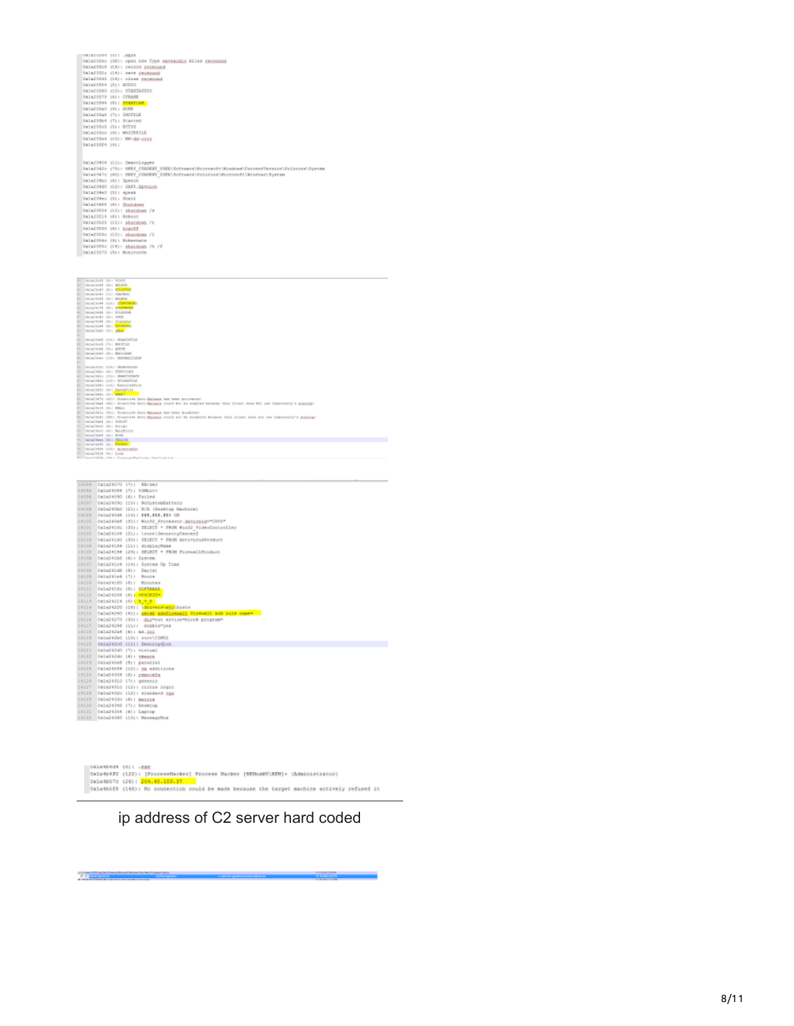|         |                               | DESEGREE 1511 / NESS                                                                                                                             |
|---------|-------------------------------|--------------------------------------------------------------------------------------------------------------------------------------------------|
|         |                               | Skiablico (30): open new Type waysaudio Alias zaczonno                                                                                           |
|         |                               | SKIAPSION (15): record recepand                                                                                                                  |
|         |                               | Dala23326 (14); save prospond                                                                                                                    |
|         |                               | Dala23340 (14): close received<br>Rele23356 (5): AUDOO                                                                                           |
|         |                               | 0x1s20360 (10): 5TANTADOIO                                                                                                                       |
|         |                               | SKIA23330 INI: CTRANE                                                                                                                            |
|         |                               | EKIAZOZSK (T); STARTCAK                                                                                                                          |
|         |                               | DATA222a0 (9): DONE                                                                                                                              |
|         |                               | Data23da0 (7): INCFILE<br>Dala23Sb4 (7): Started                                                                                                 |
|         |                               | Rela233c0 (5): 00735                                                                                                                             |
|         |                               | Skia233cc (9): MRITEFILE                                                                                                                         |
|         |                               | Rx1a233e4 (10): NH-dd-2002                                                                                                                       |
|         | EXTAINED (9):                 |                                                                                                                                                  |
|         |                               |                                                                                                                                                  |
|         |                               | Sala23404 (Li): SmartLooper                                                                                                                      |
|         |                               | Dala2042e (76): HMXY_CUGAENT_USEA\Seftware\Hicrosoft\Mindows\CurrentVersion\Dolicies+System                                                      |
|         |                               | IniaZ347c (60): HMEY CURRENT USER\Software\Rolicies\Microsoft\Windows\System                                                                     |
|         |                               | Exiable (6): Speech                                                                                                                              |
|         |                               | SKIED4d0 (12): SRFI.SEVOLOG<br>DA1823460 (1): Apeak                                                                                              |
|         |                               | Sala234es (3); Shell                                                                                                                             |
|         |                               | Inla23468 (8): Shandown                                                                                                                          |
|         |                               | Rela23509 (EE): shatdom /s                                                                                                                       |
|         |                               | Rxin20514 (6): Reboot                                                                                                                            |
|         |                               | Skia23520 (11): abatdown /r<br>SKIAZJS39 (R): LogaZZ                                                                                             |
|         |                               | Sala2353s (11); shuidows /1                                                                                                                      |
|         |                               | Dala23540 (3): Milesmate                                                                                                                         |
|         |                               | Sala2355c (14): shaidom /h /f                                                                                                                    |
|         |                               | Dx1s23670 (9): HonitorOn                                                                                                                         |
|         |                               |                                                                                                                                                  |
|         |                               |                                                                                                                                                  |
|         | NORTHERN                      | 1511<br>77.77                                                                                                                                    |
|         |                               |                                                                                                                                                  |
|         |                               | <b>Deliated 1911 Million</b>                                                                                                                     |
|         |                               | Colollett (E) (TLPT)                                                                                                                             |
|         |                               | Intallick: (T): carmel<br>Inisthett (6) super                                                                                                    |
|         |                               | DeCollbo44 (10) : 2008799<br><b>DESCRIPTE INC. DESPERANT</b>                                                                                     |
|         |                               | Intallett (f): Fixzoog                                                                                                                           |
|         | DeCochietti (K) + OPER        | retwitters (f)) fromates                                                                                                                         |
| ۰       |                               | <b>Includings (8): Benevoid</b>                                                                                                                  |
|         | DeCallbld (It) show           |                                                                                                                                                  |
| u       |                               | Inialist (10) StatOFILE<br>DeliaZhook (7); ENTILE                                                                                                |
|         | <b>Detections</b> shall grave |                                                                                                                                                  |
|         |                               | Intalleri (8) Militar<br>DeCellbows (13) - Histographical                                                                                        |
|         |                               |                                                                                                                                                  |
| ÷<br>u  |                               | <b>INCAPACT: 1221 : INSIDE</b><br>Delativity (iv) FIRSTONS                                                                                       |
|         |                               | INDUSTRIAL CITER PROPERTY                                                                                                                        |
| ċ,<br>o |                               | Intallate (10) Strainfish<br>DeCoChi4: (IN: EnvirondFile                                                                                         |
| o<br>ü  |                               | mounters in the mountain                                                                                                                         |
| ¢,      |                               | Includings (\$1) and -<br>DeSelbelt (62): Pennsylve Anti-Belower has been projected                                                              |
| ۰<br>õ  |                               | Inductions (\$8); Frountly's Anti-Balanda doubl Not be enabled between this client does Not use Constrainty's attempts<br>Includibrit 1911 Bride |
|         |                               | Indulled: (41); Propriet Anti-Balman has been directed!                                                                                          |
|         |                               | NORTHER ITS POWERS ARE BOARD costs on to directed booker the street does not not beaterstay's apartment<br>Delialished (K): Scattle              |
|         |                               | Infalles) (8) Brigil                                                                                                                             |
|         | <b>INTERFERED FELL BORE</b>   | <b>DOMINIC (B) BAARING</b>                                                                                                                       |
| u       |                               | DelialTrees (8): FRANK<br>Includioni (A): PHYME                                                                                                  |
|         |                               | INCATERIE (331) BUSINESS                                                                                                                         |
|         | DeCa23E14 (4); Lond           | STATEMENT CREW L. PARK                                                                                                                           |
|         |                               |                                                                                                                                                  |
|         |                               |                                                                                                                                                  |
|         |                               |                                                                                                                                                  |
|         |                               | DESAPRED (7):<br>E3/860                                                                                                                          |
|         | 14094<br>14099                | Dala24084 (7): 508010+                                                                                                                           |
|         | 16096                         | Omin24090 (6): Failed                                                                                                                            |
|         |                               | 14097 Calad409c (15): NoDystemDattery                                                                                                            |
|         | 14099                         | 14030 Caladello (21): X/A (Deaktop Nachine)<br>CalaZ40d6 (14): ###,###,##0 GS                                                                    |

| 10001    | DelaJ40d6 (16): \$\$\$,\$\$\$,\$\$0 GB                   |
|----------|----------------------------------------------------------|
| 001.01   | Uniad4046 (31): Win3d Processor.dayinsid="CPU6"          |
| 101191   | CaleJ410c (35); SELECT * FROM Wind2 VideoController      |
| 50191    | DalaJ4144 (21): \root\DecurityCenter2                    |
| 00191    | Umla24160 4301: SELECT * FROM Annivirus@roduct           |
| 14154    | Caladdide (11): displayShame                             |
| 14100    | Dala24194 (29); SELECT * FROM FLERWALLFreebact           |
| 141.06   | GeloJibb (6): Suprem                                     |
| 14103    | Oxialtict (16): System Op Time                           |
| 14108    | Data241d8 (8): Day(a)                                    |
| 14104    | DelaJilet (7): Sours                                     |
| 14138    | CELADVIED (N): Minutes                                   |
| 14111    | Caladdiffe (3); SOFTERED                                 |
| $-1112$  | Dala24208 (8): *P6CK3D*                                  |
| 16113    | Umin24214 (5) : 2 = 0                                    |
| 14134    | catad4220 (15); Udrivershand hosts                       |
| $-4111$  | CaloJ4240 (41): metah advisewall finewall ach rule name= |
| 1.116    | Omio24270 (30): dirmous action=block program=            |
| 14117    | Caidd4294 (11): 4nabbe=yes                               |
| 14111    | Dala242a4 (6): as.1n2                                    |
| $-0.118$ | Smia242b0 (50): coon\CDW2                                |
| 14135    | Caiad42c0 (ii): Description                              |
| 14135    | Cala242d0 (7); virtual                                   |
| $-4132$  | Smin242dc (6): neware                                    |
| 14123    | UKLaddor (f): parallel                                   |
| 14124    | Dale24224 (12): Hm edditions                             |
| $+125$   | OmleJ4304 (8): numerate                                  |
| 16326    | Calolt310 (7): generic                                   |
| 14127    | Caladd310 (12): cirras logic                             |
| 14138    | Cala24320 (12): standard yas                             |
| $-0.129$ | Ominitibe (6): matrox                                    |
| 00130    | Omind4340 (7); Deaktop                                   |
| 14135    | Dala24354 (6): Laptop                                    |
| 14132    | OmlaJ4360 (10): MensageBox                               |
|          |                                                          |

| URIANDOS (U) : .exe                                                                         |  |
|---------------------------------------------------------------------------------------------|--|
| Galashifo (122): [FrocessRacker] Process Nacker [BENGWE\BEN]+ (Administrator)               |  |
| Gala@b57c (26): 204.45.103.37                                                               |  |
| Omia4DSf8 (148): No connection could be made because the target machine actively refused it |  |
|                                                                                             |  |

ip address of C2 server hard coded

**Call of the Second Control of the Control of Second Control of the Control of the Control of the Control of th** 

**MARINE AND STATE**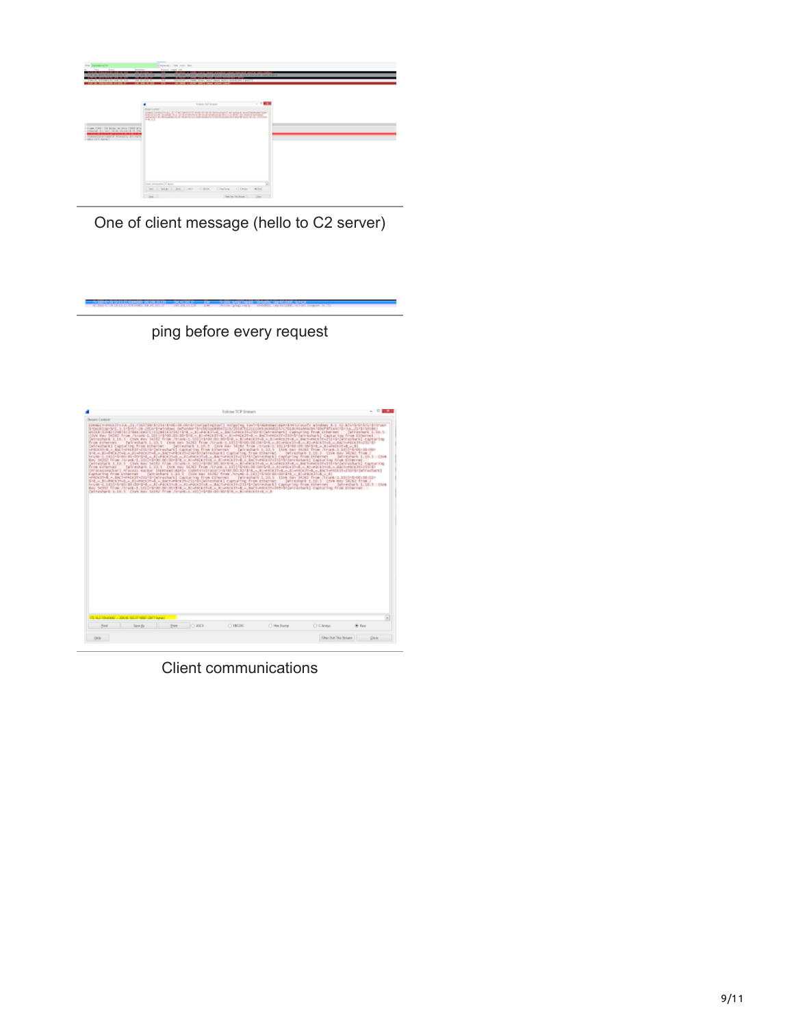

One of client message (hello to C2 server)

ping before every request

|                                                                       | Follow TCP Stream                                                                                                                                                                                                                                                                                                                                                                                                                                                                                                                                                                                                                                                                                                                                                                                                                                                                                                                                                                                                                                                                                                                                                                                                                                                                                                                                                                                                                                                                                                                                                                                                                                                                                                                                                                                                                                                                                                                                                    |                                                                                                                         |
|-----------------------------------------------------------------------|----------------------------------------------------------------------------------------------------------------------------------------------------------------------------------------------------------------------------------------------------------------------------------------------------------------------------------------------------------------------------------------------------------------------------------------------------------------------------------------------------------------------------------------------------------------------------------------------------------------------------------------------------------------------------------------------------------------------------------------------------------------------------------------------------------------------------------------------------------------------------------------------------------------------------------------------------------------------------------------------------------------------------------------------------------------------------------------------------------------------------------------------------------------------------------------------------------------------------------------------------------------------------------------------------------------------------------------------------------------------------------------------------------------------------------------------------------------------------------------------------------------------------------------------------------------------------------------------------------------------------------------------------------------------------------------------------------------------------------------------------------------------------------------------------------------------------------------------------------------------------------------------------------------------------------------------------------------------|-------------------------------------------------------------------------------------------------------------------------|
| <b>Senare Control</b>                                                 |                                                                                                                                                                                                                                                                                                                                                                                                                                                                                                                                                                                                                                                                                                                                                                                                                                                                                                                                                                                                                                                                                                                                                                                                                                                                                                                                                                                                                                                                                                                                                                                                                                                                                                                                                                                                                                                                                                                                                                      |                                                                                                                         |
| From aniterrare                                                       | USILE (1783) [2007] 27844   USIL   17281112715   1914   2 3   LEASTER A BALTANIE (TOPS IN CAPTURES)   LUMBERS TEAM STRAPHER<br>che de 1930 fra Juan I. 201-190 2012/04-191 - p-excepti - p-excepti - beteencon-libre-pressure) capacing fra comment<br>Detection 1.10.1, One are bette row result billions monarched - p-exception - p-exception better in resul<br>Detroiteti capatra fra status - perezhet 1,013 (en se 318 fra itrac-1,30)-9-8-20 al-bail al-ascutilli ()<br>Status - al-basilirili (-) prezhet (aptern) fra Dheroi - prezhet 1,353 (ba se 313) fra Areel 1,10)-6-60-8-50-<br>SHL-CH-RECINE-CAT-ROOT-E-CACIN-DRIP-DRIPONINGNA' Capaling from Ethernat   Intradigite 1,18.5   Civil Bay 34162 from /<br>trusk (LTD) 6/80 Bl (0054), LTD PACENTAL LTD PACENTAL LANCER IN 2014 (CALIFORNIA Captaring from History)<br>Nev 5010 From Jorgeb-1, 501-5400.00/3041-8.x. Enektoring.x. Enektoring a bach-technical Calversburk) Capturing from Coherent<br>(wireshark 1.18.5 Crys Bay Sittle from Jiraik-1, 55) Hytel 80 Birdra, A.M.-Rechted a. Alandesthak a. Bartanick (mattlick/alanashank) Easterling<br>DV SOSIPACHET PERCENT ENDER ENDERGY (SOSIPILE DAMENTIFICATION) (SUSPENSE) (EL PERCENTAL AL EL POSTETIAL AL ENTRETATIONS (SUSPENSES)<br>Exploring from Editorial - [windshare L.20.5 - [One day SCR2 from /trusts 2.20] (English Birdding A.A. J. Links 21-A = 3)<br>HROCETHE A. ENCTHROCETHERS (With Freeholds) Capitality Evon Dilervest   Perinstitute S. 20.3   EDA Rev. HOSE From /Crunk-3.1833-8-0010830-<br>SMLs. Il i-NECONI, a di i-NECONI, a decretire (1920) (la catratura) capsa tre from trivenne<br>trust-1.1819/05/05/09/09 R. A. H. PASCOLA, a H. POSTER, a ACTIVISTIC/UNIVERSITY (approximation from Hilberton)<br>We Still from Jaruna Listinian sciences a spanicistic spanish a subsection and the control culturing from charged<br>Detrochard 1.18.3 Cove ago 51342 from Jirank.1, 2010-1400-00-8042-8, E-PALETTIS.n.8 | Catrostork L.D.C.<br>Jetreshark Littli, S. (svs.<br>Detrembark 1, 10, 5 (typ new S4162 from /<br>Julianiarh 1.10.1 Clus |
| TEND FRAME (2004) STATE REPORT OF TAXABLE<br>Road<br><b>Grant</b> Aut | bes O ass<br>C HOK<br><b>Clintee Burns</b>                                                                                                                                                                                                                                                                                                                                                                                                                                                                                                                                                                                                                                                                                                                                                                                                                                                                                                                                                                                                                                                                                                                                                                                                                                                                                                                                                                                                                                                                                                                                                                                                                                                                                                                                                                                                                                                                                                                           | <b>CArest</b><br>W. Fare                                                                                                |
|                                                                       |                                                                                                                                                                                                                                                                                                                                                                                                                                                                                                                                                                                                                                                                                                                                                                                                                                                                                                                                                                                                                                                                                                                                                                                                                                                                                                                                                                                                                                                                                                                                                                                                                                                                                                                                                                                                                                                                                                                                                                      |                                                                                                                         |
|                                                                       |                                                                                                                                                                                                                                                                                                                                                                                                                                                                                                                                                                                                                                                                                                                                                                                                                                                                                                                                                                                                                                                                                                                                                                                                                                                                                                                                                                                                                                                                                                                                                                                                                                                                                                                                                                                                                                                                                                                                                                      |                                                                                                                         |

Client communications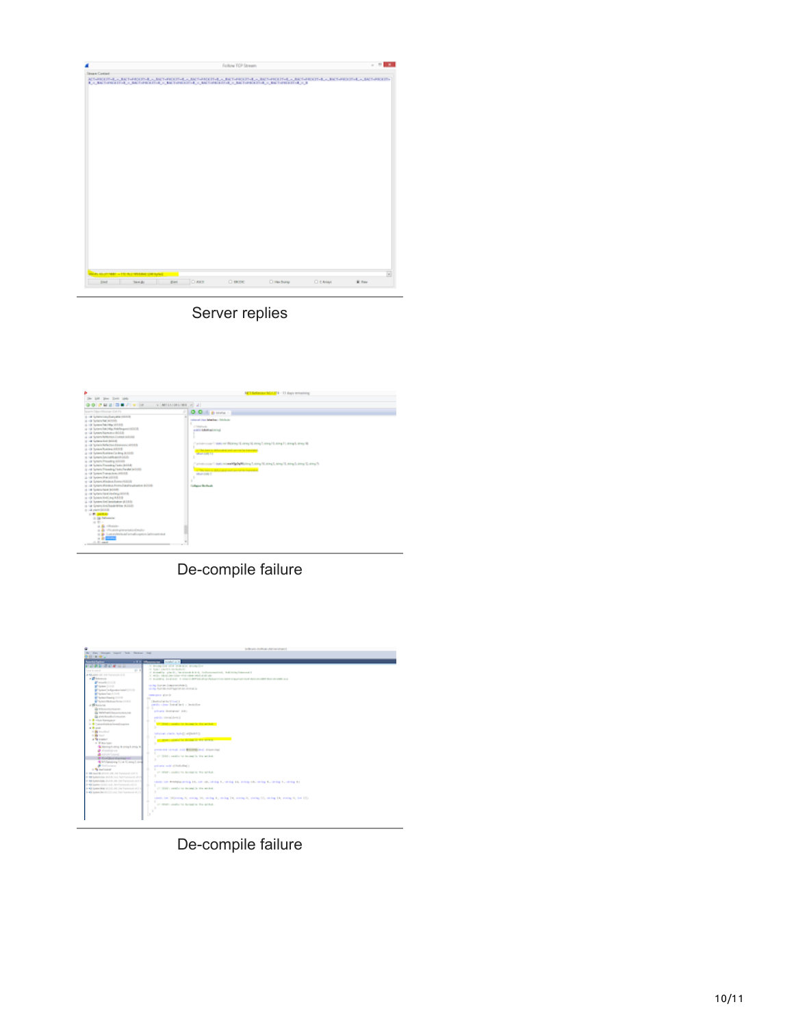

## Server replies



De-compile failure



De-compile failure